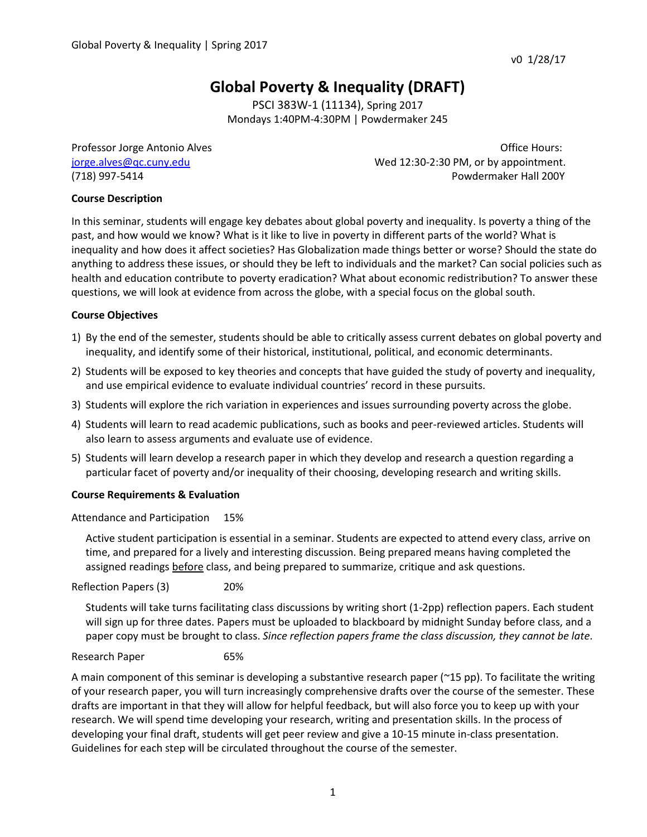# **Global Poverty & Inequality (DRAFT)**

PSCI 383W-1 (11134), Spring 2017 Mondays 1:40PM-4:30PM | Powdermaker 245

Professor Jorge Antonio Alves **Disk and Alves** Antonio Alves and Alves Antonio Alves Antonio Alves Antonio Alves [jorge.alves@qc.cuny.edu](mailto:jorge.alves@qc.cuny.edu) Wed 12:30-2:30 PM, or by appointment. (718) 997-5414 Powdermaker Hall 200Y

# **Course Description**

In this seminar, students will engage key debates about global poverty and inequality. Is poverty a thing of the past, and how would we know? What is it like to live in poverty in different parts of the world? What is inequality and how does it affect societies? Has Globalization made things better or worse? Should the state do anything to address these issues, or should they be left to individuals and the market? Can social policies such as health and education contribute to poverty eradication? What about economic redistribution? To answer these questions, we will look at evidence from across the globe, with a special focus on the global south.

# **Course Objectives**

- 1) By the end of the semester, students should be able to critically assess current debates on global poverty and inequality, and identify some of their historical, institutional, political, and economic determinants.
- 2) Students will be exposed to key theories and concepts that have guided the study of poverty and inequality, and use empirical evidence to evaluate individual countries' record in these pursuits.
- 3) Students will explore the rich variation in experiences and issues surrounding poverty across the globe.
- 4) Students will learn to read academic publications, such as books and peer-reviewed articles. Students will also learn to assess arguments and evaluate use of evidence.
- 5) Students will learn develop a research paper in which they develop and research a question regarding a particular facet of poverty and/or inequality of their choosing, developing research and writing skills.

# **Course Requirements & Evaluation**

Attendance and Participation 15%

Active student participation is essential in a seminar. Students are expected to attend every class, arrive on time, and prepared for a lively and interesting discussion. Being prepared means having completed the assigned readings **before** class, and being prepared to summarize, critique and ask questions.

Reflection Papers (3) 20%

Students will take turns facilitating class discussions by writing short (1-2pp) reflection papers. Each student will sign up for three dates. Papers must be uploaded to blackboard by midnight Sunday before class, and a paper copy must be brought to class. *Since reflection papers frame the class discussion, they cannot be late*.

# Research Paper 65%

A main component of this seminar is developing a substantive research paper (~15 pp). To facilitate the writing of your research paper, you will turn increasingly comprehensive drafts over the course of the semester. These drafts are important in that they will allow for helpful feedback, but will also force you to keep up with your research. We will spend time developing your research, writing and presentation skills. In the process of developing your final draft, students will get peer review and give a 10-15 minute in-class presentation. Guidelines for each step will be circulated throughout the course of the semester.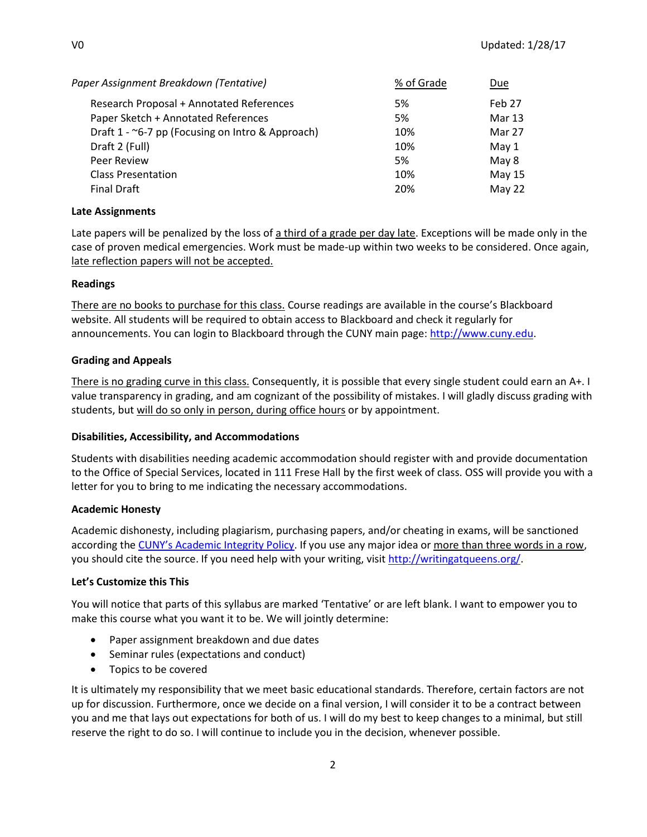| % of Grade | Due           |  |
|------------|---------------|--|
| 5%         | Feb 27        |  |
| 5%         | <b>Mar 13</b> |  |
| 10%        | Mar 27        |  |
| 10%        | May $1$       |  |
| 5%         | May 8         |  |
| 10%        | May 15        |  |
| 20%        | May 22        |  |
|            |               |  |

# **Late Assignments**

Late papers will be penalized by the loss of a third of a grade per day late. Exceptions will be made only in the case of proven medical emergencies. Work must be made-up within two weeks to be considered. Once again, late reflection papers will not be accepted.

#### **Readings**

There are no books to purchase for this class. Course readings are available in the course's Blackboard website. All students will be required to obtain access to Blackboard and check it regularly for announcements. You can login to Blackboard through the CUNY main page: [http://www.cuny.edu.](http://www.cuny.edu/)

#### **Grading and Appeals**

There is no grading curve in this class. Consequently, it is possible that every single student could earn an A+. I value transparency in grading, and am cognizant of the possibility of mistakes. I will gladly discuss grading with students, but will do so only in person, during office hours or by appointment.

# **Disabilities, Accessibility, and Accommodations**

Students with disabilities needing academic accommodation should register with and provide documentation to the Office of Special Services, located in 111 Frese Hall by the first week of class. OSS will provide you with a letter for you to bring to me indicating the necessary accommodations.

# **Academic Honesty**

Academic dishonesty, including plagiarism, purchasing papers, and/or cheating in exams, will be sanctioned according the [CUNY's Academic Integrity Policy](https://www.cuny.edu/about/administration/offices/la/Academic_Integrity_Policy.pdf). If you use any major idea or more than three words in a row, you should cite the source. If you need help with your writing, visi[t http://writingatqueens.org/.](http://writingatqueens.org/)

# **Let's Customize this This**

You will notice that parts of this syllabus are marked 'Tentative' or are left blank. I want to empower you to make this course what you want it to be. We will jointly determine:

- Paper assignment breakdown and due dates
- Seminar rules (expectations and conduct)
- Topics to be covered

It is ultimately my responsibility that we meet basic educational standards. Therefore, certain factors are not up for discussion. Furthermore, once we decide on a final version, I will consider it to be a contract between you and me that lays out expectations for both of us. I will do my best to keep changes to a minimal, but still reserve the right to do so. I will continue to include you in the decision, whenever possible.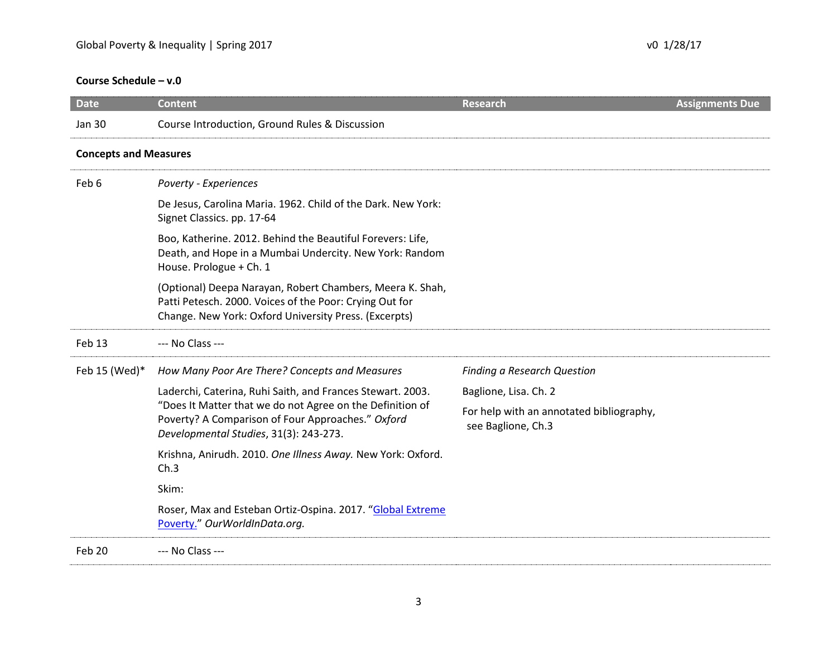# **Course Schedule – v.0**

| <b>Date</b>                  | <b>Content</b>                                                                                                                                                                | <b>Research</b>                                                | <b>Assignments Due</b> |  |  |
|------------------------------|-------------------------------------------------------------------------------------------------------------------------------------------------------------------------------|----------------------------------------------------------------|------------------------|--|--|
| <b>Jan 30</b>                | Course Introduction, Ground Rules & Discussion                                                                                                                                |                                                                |                        |  |  |
| <b>Concepts and Measures</b> |                                                                                                                                                                               |                                                                |                        |  |  |
| Feb 6                        | Poverty - Experiences                                                                                                                                                         |                                                                |                        |  |  |
|                              | De Jesus, Carolina Maria. 1962. Child of the Dark. New York:<br>Signet Classics. pp. 17-64                                                                                    |                                                                |                        |  |  |
|                              | Boo, Katherine. 2012. Behind the Beautiful Forevers: Life,<br>Death, and Hope in a Mumbai Undercity. New York: Random<br>House. Prologue + Ch. 1                              |                                                                |                        |  |  |
|                              | (Optional) Deepa Narayan, Robert Chambers, Meera K. Shah,<br>Patti Petesch. 2000. Voices of the Poor: Crying Out for<br>Change. New York: Oxford University Press. (Excerpts) |                                                                |                        |  |  |
| Feb 13                       | --- No Class ---                                                                                                                                                              |                                                                |                        |  |  |
| Feb 15 (Wed)*                | How Many Poor Are There? Concepts and Measures                                                                                                                                | <b>Finding a Research Question</b>                             |                        |  |  |
|                              | Laderchi, Caterina, Ruhi Saith, and Frances Stewart. 2003.                                                                                                                    | Baglione, Lisa. Ch. 2                                          |                        |  |  |
|                              | "Does It Matter that we do not Agree on the Definition of<br>Poverty? A Comparison of Four Approaches." Oxford<br>Developmental Studies, 31(3): 243-273.                      | For help with an annotated bibliography,<br>see Baglione, Ch.3 |                        |  |  |
|                              | Krishna, Anirudh. 2010. One Illness Away. New York: Oxford.<br>Ch.3                                                                                                           |                                                                |                        |  |  |
|                              | Skim:                                                                                                                                                                         |                                                                |                        |  |  |
|                              | Roser, Max and Esteban Ortiz-Ospina. 2017. "Global Extreme<br>Poverty." OurWorldInData.org.                                                                                   |                                                                |                        |  |  |
| Feb 20                       | --- No Class ---                                                                                                                                                              |                                                                |                        |  |  |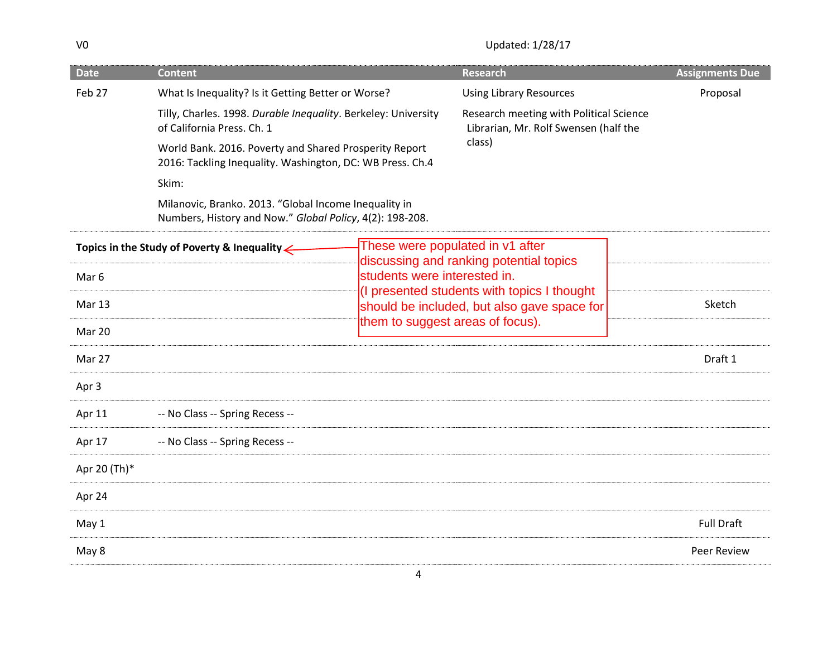V0 Updated: 1/28/17

| <b>Date</b>                                                                                                                | <b>Content</b>                                                                                                      |                                                                | <b>Research</b>                                                                            | <b>Assignments Due</b>                                                           |
|----------------------------------------------------------------------------------------------------------------------------|---------------------------------------------------------------------------------------------------------------------|----------------------------------------------------------------|--------------------------------------------------------------------------------------------|----------------------------------------------------------------------------------|
| Feb 27                                                                                                                     | What Is Inequality? Is it Getting Better or Worse?                                                                  |                                                                | <b>Using Library Resources</b>                                                             | Proposal                                                                         |
|                                                                                                                            | of California Press. Ch. 1                                                                                          | Tilly, Charles. 1998. Durable Inequality. Berkeley: University |                                                                                            | Research meeting with Political Science<br>Librarian, Mr. Rolf Swensen (half the |
|                                                                                                                            | World Bank. 2016. Poverty and Shared Prosperity Report<br>2016: Tackling Inequality. Washington, DC: WB Press. Ch.4 |                                                                | class)                                                                                     |                                                                                  |
|                                                                                                                            | Skim:                                                                                                               |                                                                |                                                                                            |                                                                                  |
|                                                                                                                            | Milanovic, Branko. 2013. "Global Income Inequality in<br>Numbers, History and Now." Global Policy, 4(2): 198-208.   |                                                                |                                                                                            |                                                                                  |
| These were populated in v1 after<br>Topics in the Study of Poverty & Inequality<br>discussing and ranking potential topics |                                                                                                                     |                                                                |                                                                                            |                                                                                  |
| Mar 6                                                                                                                      |                                                                                                                     |                                                                | students were interested in.                                                               |                                                                                  |
| Mar 13                                                                                                                     |                                                                                                                     |                                                                | (I presented students with topics I thought<br>should be included, but also gave space for | Sketch                                                                           |
| Mar 20                                                                                                                     |                                                                                                                     |                                                                | them to suggest areas of focus).                                                           |                                                                                  |
| Mar 27                                                                                                                     |                                                                                                                     |                                                                |                                                                                            | Draft 1                                                                          |
| Apr 3                                                                                                                      |                                                                                                                     |                                                                |                                                                                            |                                                                                  |
| Apr 11                                                                                                                     | -- No Class -- Spring Recess --                                                                                     |                                                                |                                                                                            |                                                                                  |
| Apr 17                                                                                                                     | -- No Class -- Spring Recess --                                                                                     |                                                                |                                                                                            |                                                                                  |
| Apr 20 (Th)*                                                                                                               |                                                                                                                     |                                                                |                                                                                            |                                                                                  |
| Apr 24                                                                                                                     |                                                                                                                     |                                                                |                                                                                            |                                                                                  |
| May 1                                                                                                                      |                                                                                                                     |                                                                |                                                                                            | <b>Full Draft</b>                                                                |
| May 8                                                                                                                      |                                                                                                                     |                                                                |                                                                                            | <b>Peer Review</b>                                                               |
|                                                                                                                            |                                                                                                                     |                                                                |                                                                                            |                                                                                  |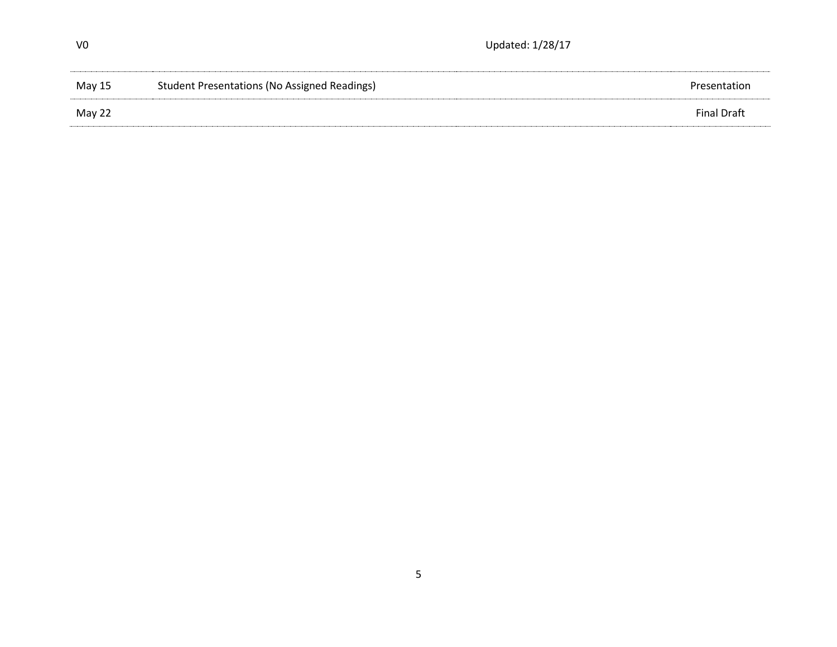| V0     | Updated: 1/28/17                                    |                    |  |
|--------|-----------------------------------------------------|--------------------|--|
| May 15 | <b>Student Presentations (No Assigned Readings)</b> | Presentation       |  |
| May 22 |                                                     | <b>Final Draft</b> |  |